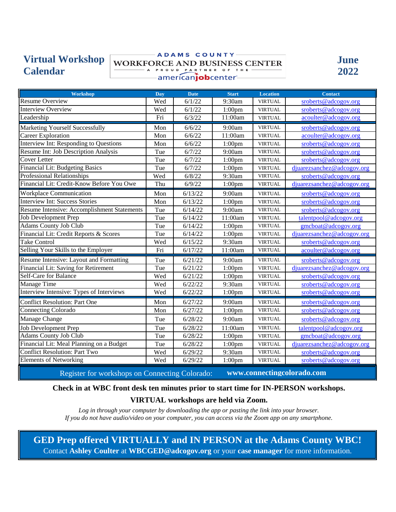# **Virtual Workshop Calendar**

#### ADAMS COUNTY-**WORKFORCE AND BUSINESS CENTER** - A PROUD PARTNER OF THE *Americanjobcenter-*



| <b>Workshop</b>                             | Day | <b>Date</b> | <b>Start</b>       | <b>Location</b> | <b>Contact</b>             |
|---------------------------------------------|-----|-------------|--------------------|-----------------|----------------------------|
| <b>Resume Overview</b>                      | Wed | 6/1/22      | 9:30am             | <b>VIRTUAL</b>  | sroberts@adcogov.org       |
| <b>Interview Overview</b>                   | Wed | 6/1/22      | $1:00$ pm          | <b>VIRTUAL</b>  | sroberts@adcogov.org       |
| Leadership                                  | Fri | 6/3/22      | 11:00am            | <b>VIRTUAL</b>  | acoulter@adcogov.org       |
| <b>Marketing Yourself Successfully</b>      | Mon | 6/6/22      | 9:00am             | <b>VIRTUAL</b>  | sroberts@adcogov.org       |
| <b>Career Exploration</b>                   | Mon | 6/6/22      | 11:00am            | <b>VIRTUAL</b>  | acoulter@adcogov.org       |
| Interview Int: Responding to Questions      | Mon | 6/6/22      | $1:00$ pm          | <b>VIRTUAL</b>  | sroberts@adcogov.org       |
| Resume Int: Job Description Analysis        | Tue | 6/7/22      | 9:00am             | <b>VIRTUAL</b>  | sroberts@adcogov.org       |
| <b>Cover Letter</b>                         | Tue | 6/7/22      | 1:00 <sub>pm</sub> | <b>VIRTUAL</b>  | sroberts@adcogov.org       |
| Financial Lit: Budgeting Basics             | Tue | 6/7/22      | 1:00 <sub>pm</sub> | <b>VIRTUAL</b>  | djuarezsanchez@adcogov.org |
| <b>Professional Relationships</b>           | Wed | 6/8/22      | 9:30am             | <b>VIRTUAL</b>  | sroberts@adcogov.org       |
| Financial Lit: Credit-Know Before You Owe   | Thu | 6/9/22      | $1:00$ pm          | <b>VIRTUAL</b>  | djuarezsanchez@adcogov.org |
| Workplace Communication                     | Mon | 6/13/22     | 9:00am             | <b>VIRTUAL</b>  | sroberts@adcogov.org       |
| <b>Interview Int: Success Stories</b>       | Mon | 6/13/22     | $1:00$ pm          | <b>VIRTUAL</b>  | sroberts@adcogov.org       |
| Resume Intensive: Accomplishment Statements | Tue | 6/14/22     | 9:00am             | <b>VIRTUAL</b>  | sroberts@adcogov.org       |
| Job Development Prep                        | Tue | 6/14/22     | 11:00am            | <b>VIRTUAL</b>  | talentpool@adcogov.org     |
| <b>Adams County Job Club</b>                | Tue | 6/14/22     | $1:00$ pm          | <b>VIRTUAL</b>  | gmcboat@adcogov.org        |
| Financial Lit: Credit Reports & Scores      | Tue | 6/14/22     | $1:00$ pm          | <b>VIRTUAL</b>  | djuarezsanchez@adcogov.org |
| <b>Take Control</b>                         | Wed | 6/15/22     | 9:30am             | <b>VIRTUAL</b>  | sroberts@adcogov.org       |
| Selling Your Skills to the Employer         | Fri | 6/17/22     | 11:00am            | <b>VIRTUAL</b>  | acoulter@adcogov.org       |
| Resume Intensive: Layout and Formatting     | Tue | 6/21/22     | 9:00am             | <b>VIRTUAL</b>  | sroberts@adcogov.org       |
| Financial Lit: Saving for Retirement        | Tue | 6/21/22     | $1:00$ pm          | <b>VIRTUAL</b>  | djuarezsanchez@adcogov.org |
| Self-Care for Balance                       | Wed | 6/21/22     | 1:00 <sub>pm</sub> | <b>VIRTUAL</b>  | sroberts@adcogov.org       |
| <b>Manage Time</b>                          | Wed | 6/22/22     | 9:30am             | <b>VIRTUAL</b>  | sroberts@adcogov.org       |
| Interview Intensive: Types of Interviews    | Wed | 6/22/22     | $1:00$ pm          | <b>VIRTUAL</b>  | sroberts@adcogov.org       |
| <b>Conflict Resolution: Part One</b>        | Mon | 6/27/22     | 9:00am             | <b>VIRTUAL</b>  | sroberts@adcogov.org       |
| Connecting Colorado                         | Mon | 6/27/22     | $1:00$ pm          | <b>VIRTUAL</b>  | sroberts@adcogov.org       |
| Manage Change                               | Tue | 6/28/22     | 9:00am             | <b>VIRTUAL</b>  | sroberts@adcogov.org       |
| Job Development Prep                        | Tue | 6/28/22     | 11:00am            | <b>VIRTUAL</b>  | talentpool@adcogov.org     |
| Adams County Job Club                       | Tue | 6/28/22     | $1:00$ pm          | <b>VIRTUAL</b>  | gmcboat@adcogov.org        |
| Financial Lit: Meal Planning on a Budget    | Tue | 6/28/22     | $1:00$ pm          | <b>VIRTUAL</b>  | djuarezsanchez@adcogov.org |
| <b>Conflict Resolution: Part Two</b>        | Wed | 6/29/22     | 9:30am             | <b>VIRTUAL</b>  | sroberts@adcogov.org       |
| <b>Elements of Networking</b>               | Wed | 6/29/22     | $1:00$ pm          | <b>VIRTUAL</b>  | sroberts@adcogov.org       |

Register for workshops on Connecting Colorado: **[www.connectingcolorado.com](https://connectingcolorado.com/)**

## **Check in at WBC front desk ten minutes prior to start time for IN-PERSON workshops.**

## **VIRTUAL workshops are held via Zoom.**

*Log in through your computer by downloading the app or pasting the link into your browser. If you do not have audio/video on your computer, you can access via the Zoom app on any smartphone.* 

**GED Prep offered VIRTUALLY and IN PERSON at the Adams County WBC!** Contact **Ashley Coulter** at **WBCGED@adcogov.org** or your **case manager** for more information.